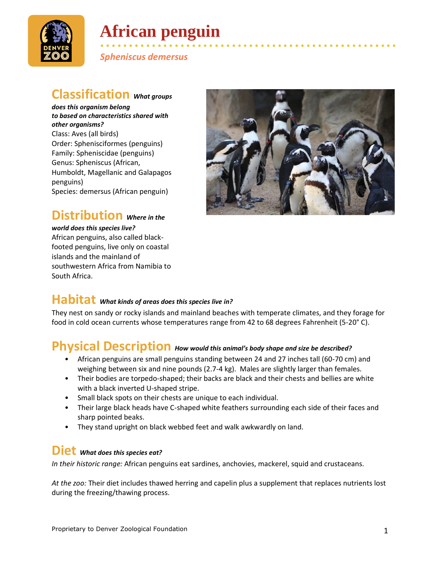

# **African penguin**

• • • • • • • • • • • • • • • • • • • • • • • • • • • • • • • • • • • • • • • • • • • • • • • • • • • • *Spheniscus demersus*

#### **Classification** *What groups*

*does this organism belong to based on characteristics shared with other organisms?* Class: Aves (all birds) Order: Sphenisciformes (penguins) Family: Spheniscidae (penguins) Genus: Spheniscus (African, Humboldt, Magellanic and Galapagos penguins) Species: demersus (African penguin)

## **Distribution** *Where in the*

*world does this species live?* African penguins, also called blackfooted penguins, live only on coastal islands and the mainland of

southwestern Africa from Namibia to

South Africa.



## **Habitat** *What kinds of areas does this species live in?*

They nest on sandy or rocky islands and mainland beaches with temperate climates, and they forage for food in cold ocean currents whose temperatures range from 42 to 68 degrees Fahrenheit (5-20° C).

## **Physical Description** *How would this animal's body shape and size be described?*

- African penguins are small penguins standing between 24 and 27 inches tall (60-70 cm) and weighing between six and nine pounds (2.7-4 kg). Males are slightly larger than females.
- Their bodies are torpedo-shaped; their backs are black and their chests and bellies are white with a black inverted U-shaped stripe.
- Small black spots on their chests are unique to each individual.
- Their large black heads have C-shaped white feathers surrounding each side of their faces and sharp pointed beaks.
- They stand upright on black webbed feet and walk awkwardly on land.

#### **Diet** *What does this species eat?*

*In their historic range:* African penguins eat sardines, anchovies, mackerel, squid and crustaceans.

*At the zoo:* Their diet includes thawed herring and capelin plus a supplement that replaces nutrients lost during the freezing/thawing process.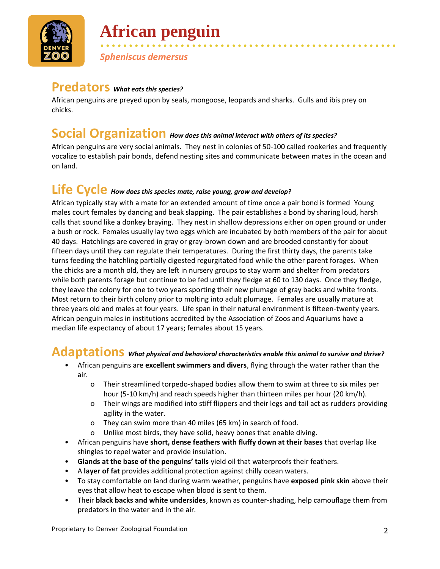

# **African penguin**

*Spheniscus demersus*

### **Predators** *What eats this species?*

African penguins are preyed upon by seals, mongoose, leopards and sharks. Gulls and ibis prey on chicks.

• • • • • • • • • • • • • • • • • • • • • • • • • • • • • • • • • • • • • • • • • • • • • • • • • • • •

#### **Social Organization** *How does this animal interact with others of its species?*

African penguins are very social animals. They nest in colonies of 50-100 called rookeries and frequently vocalize to establish pair bonds, defend nesting sites and communicate between mates in the ocean and on land.

## **Life Cycle** *How does this species mate, raise young, grow and develop?*

African typically stay with a mate for an extended amount of time once a pair bond is formed Young males court females by dancing and beak slapping. The pair establishes a bond by sharing loud, harsh calls that sound like a donkey braying. They nest in shallow depressions either on open ground or under a bush or rock. Females usually lay two eggs which are incubated by both members of the pair for about 40 days. Hatchlings are covered in gray or gray-brown down and are brooded constantly for about fifteen days until they can regulate their temperatures. During the first thirty days, the parents take turns feeding the hatchling partially digested regurgitated food while the other parent forages. When the chicks are a month old, they are left in nursery groups to stay warm and shelter from predators while both parents forage but continue to be fed until they fledge at 60 to 130 days. Once they fledge, they leave the colony for one to two years sporting their new plumage of gray backs and white fronts. Most return to their birth colony prior to molting into adult plumage. Females are usually mature at three years old and males at four years. Life span in their natural environment is fifteen-twenty years. African penguin males in institutions accredited by the Association of Zoos and Aquariums have a median life expectancy of about 17 years; females about 15 years.

## **Adaptations** *What physical and behavioral characteristics enable this animal to survive and thrive?*

- African penguins are **excellent swimmers and divers**, flying through the water rather than the air.
	- o Their streamlined torpedo-shaped bodies allow them to swim at three to six miles per hour (5-10 km/h) and reach speeds higher than thirteen miles per hour (20 km/h).
	- o Their wings are modified into stiff flippers and their legs and tail act as rudders providing agility in the water.
	- o They can swim more than 40 miles (65 km) in search of food.
	- o Unlike most birds, they have solid, heavy bones that enable diving.
- African penguins have **short, dense feathers with fluffy down at their bases** that overlap like shingles to repel water and provide insulation.
- **Glands at the base of the penguins' tails** yield oil that waterproofs their feathers.
- A **layer of fat** provides additional protection against chilly ocean waters.
- To stay comfortable on land during warm weather, penguins have **exposed pink skin** above their eyes that allow heat to escape when blood is sent to them.
- Their **black backs and white undersides**, known as counter-shading, help camouflage them from predators in the water and in the air.